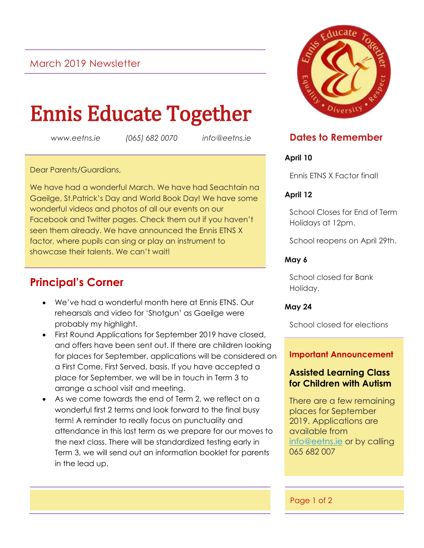## March 2019 Newsletter

# Ennis Educate Together

*www.eetns.ie (065) 682 0070 info@eetns.ie*

Dear Parents/Guardians,

We have had a wonderful March. We have had Seachtain na Gaeilge, St.Patrick's Day and World Book Day! We have some wonderful videos and photos of all our events on our Facebook and Twitter pages. Check them out if you haven't seen them already. We have announced the Ennis ETNS X factor, where pupils can sing or play an instrument to showcase their talents. We can't wait!

# **Principal's Corner**

- We've had a wonderful month here at Ennis ETNS. Our rehearsals and video for 'Shotgun' as Gaeilge were probably my highlight.
- First Round Applications for September 2019 have closed, and offers have been sent out. If there are children looking for places for September, applications will be considered on a First Come, First Served, basis. If you have accepted a place for September, we will be in touch in Term 3 to arrange a school visit and meeting.
- As we come towards the end of Term 2, we reflect on a wonderful first 2 terms and look forward to the final busy term! A reminder to really focus on punctuality and attendance in this last term as we prepare for our moves to the next class. There will be standardized testing early in Term 3, we will send out an information booklet for parents in the lead up.



### **Dates to Remember**

#### **April 10**

Ennis ETNS X Factor final!

#### **April 12**

School Closes for End of Term Holidays at 12pm.

School reopens on April 29th.

#### **May 6**

School closed for Bank Holiday.

#### **May 24**

School closed for elections

#### **Important Announcement**

#### **Assisted Learning Class for Children with Autism**

There are a few remaining places for September 2019. Applications are available from [info@eetns.ie](mailto:info@eetns.ie) or by calling 065 682 007

#### Page 1 of 2